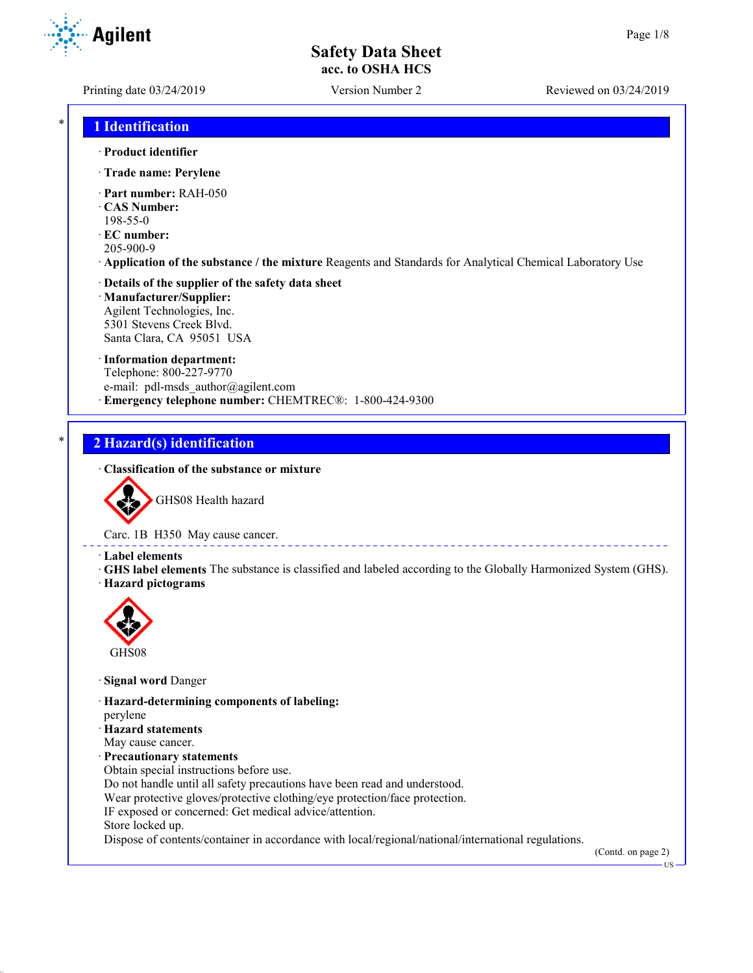Printing date 03/24/2019 Version Number 2 Reviewed on 03/24/2019

## \* **1 Identification**

- · **Product identifier**
- · **Trade name: Perylene**
- · **Part number:** RAH-050
- · **CAS Number:**
- 198-55-0
- · **EC number:**
- 205-900-9
- · **Application of the substance / the mixture** Reagents and Standards for Analytical Chemical Laboratory Use

# · **Details of the supplier of the safety data sheet**

· **Manufacturer/Supplier:** Agilent Technologies, Inc. 5301 Stevens Creek Blvd. Santa Clara, CA 95051 USA

#### · **Information department:**

Telephone: 800-227-9770 e-mail: pdl-msds author@agilent.com · **Emergency telephone number:** CHEMTREC®: 1-800-424-9300

### \* **2 Hazard(s) identification**

#### · **Classification of the substance or mixture**



GHS08 Health hazard

Carc. 1B H350 May cause cancer.

- · **Label elements**
- · **GHS label elements** The substance is classified and labeled according to the Globally Harmonized System (GHS). · **Hazard pictograms**



- · **Signal word** Danger
- · **Hazard-determining components of labeling:**
- perylene
- · **Hazard statements**
- May cause cancer.
- · **Precautionary statements**
- Obtain special instructions before use.
- Do not handle until all safety precautions have been read and understood.
- Wear protective gloves/protective clothing/eye protection/face protection.
- IF exposed or concerned: Get medical advice/attention.
- Store locked up.

Dispose of contents/container in accordance with local/regional/national/international regulations.

(Contd. on page 2)



**TIC**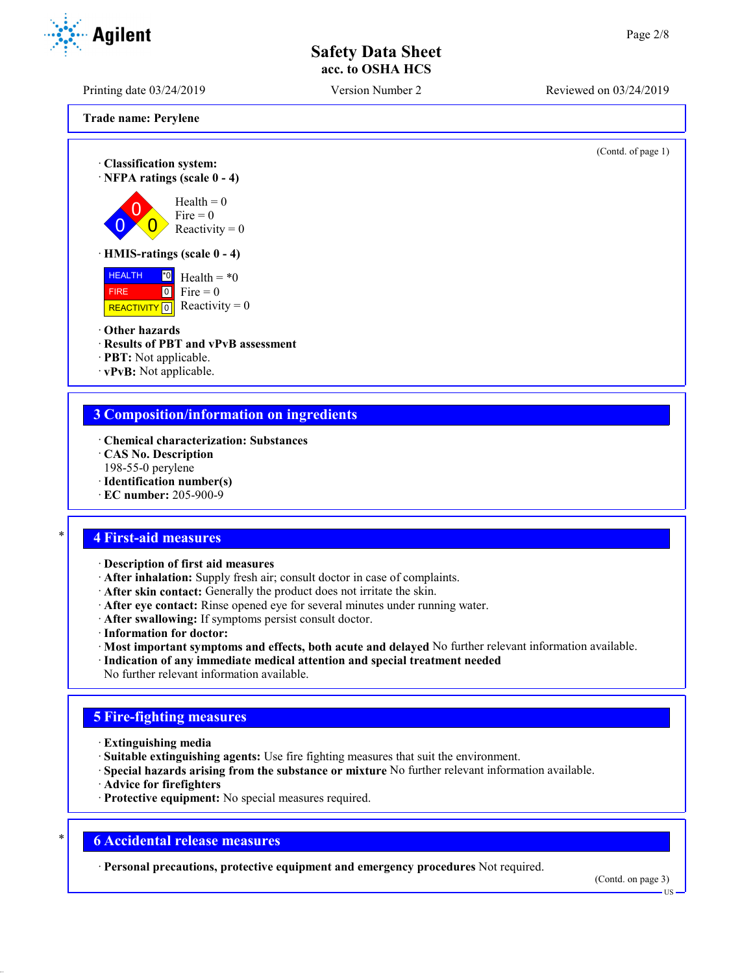Printing date 03/24/2019 Version Number 2 Reviewed on 03/24/2019

**Trade name: Perylene**

(Contd. of page 1)

· **Classification system:** · **NFPA ratings (scale 0 - 4)**  $\overline{0}$  $\overline{0}$  $\overline{0}$  $Health = 0$  $Fire = 0$ Reactivity  $= 0$ · **HMIS-ratings (scale 0 - 4)**



#### · **Other hazards**

- · **Results of PBT and vPvB assessment**
- · **PBT:** Not applicable.
- · **vPvB:** Not applicable.

### **3 Composition/information on ingredients**

- · **Chemical characterization: Substances**
- · **CAS No. Description**
- 198-55-0 perylene
- · **Identification number(s)**
- · **EC number:** 205-900-9

### \* **4 First-aid measures**

- · **Description of first aid measures**
- · **After inhalation:** Supply fresh air; consult doctor in case of complaints.
- · **After skin contact:** Generally the product does not irritate the skin.
- · **After eye contact:** Rinse opened eye for several minutes under running water.
- · **After swallowing:** If symptoms persist consult doctor.
- · **Information for doctor:**
- · **Most important symptoms and effects, both acute and delayed** No further relevant information available.
- · **Indication of any immediate medical attention and special treatment needed**
- No further relevant information available.

## **5 Fire-fighting measures**

- · **Extinguishing media**
- · **Suitable extinguishing agents:** Use fire fighting measures that suit the environment.
- · **Special hazards arising from the substance or mixture** No further relevant information available.
- · **Advice for firefighters**
- · **Protective equipment:** No special measures required.

### \* **6 Accidental release measures**

· **Personal precautions, protective equipment and emergency procedures** Not required.

(Contd. on page 3)



US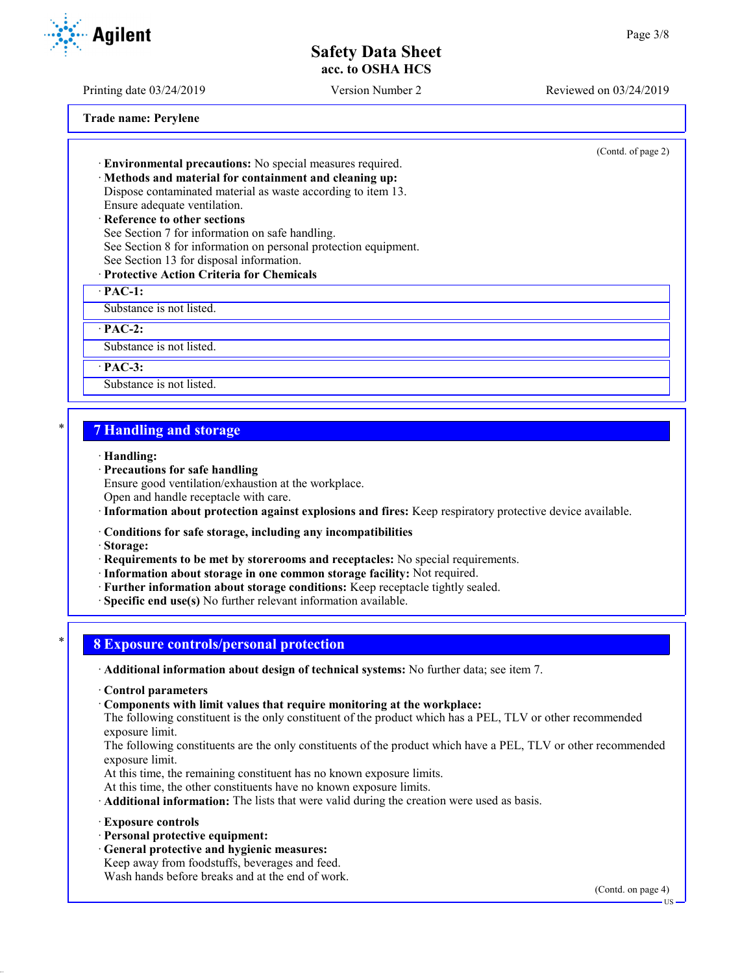Printing date 03/24/2019 Version Number 2 Reviewed on 03/24/2019

**Trade name: Perylene**

(Contd. of page 2)

· **Environmental precautions:** No special measures required.

· **Methods and material for containment and cleaning up:** Dispose contaminated material as waste according to item 13.

Ensure adequate ventilation.

· **Reference to other sections** See Section 7 for information on safe handling. See Section 8 for information on personal protection equipment. See Section 13 for disposal information.

# · **Protective Action Criteria for Chemicals**

· **PAC-1:**

Substance is not listed.

· **PAC-2:**

Substance is not listed.

· **PAC-3:**

Substance is not listed.

## \* **7 Handling and storage**

#### · **Handling:**

· **Precautions for safe handling**

Ensure good ventilation/exhaustion at the workplace.

Open and handle receptacle with care.

- · **Information about protection against explosions and fires:** Keep respiratory protective device available.
- · **Conditions for safe storage, including any incompatibilities**

· **Storage:**

- · **Requirements to be met by storerooms and receptacles:** No special requirements.
- · **Information about storage in one common storage facility:** Not required.
- · **Further information about storage conditions:** Keep receptacle tightly sealed.
- · **Specific end use(s)** No further relevant information available.

### \* **8 Exposure controls/personal protection**

- · **Additional information about design of technical systems:** No further data; see item 7.
- · **Control parameters**
- · **Components with limit values that require monitoring at the workplace:**

The following constituent is the only constituent of the product which has a PEL, TLV or other recommended exposure limit.

The following constituents are the only constituents of the product which have a PEL, TLV or other recommended exposure limit.

At this time, the remaining constituent has no known exposure limits.

At this time, the other constituents have no known exposure limits.

- · **Additional information:** The lists that were valid during the creation were used as basis.
- · **Exposure controls**
- · **Personal protective equipment:**
- · **General protective and hygienic measures:**

Keep away from foodstuffs, beverages and feed. Wash hands before breaks and at the end of work.

(Contd. on page 4)



US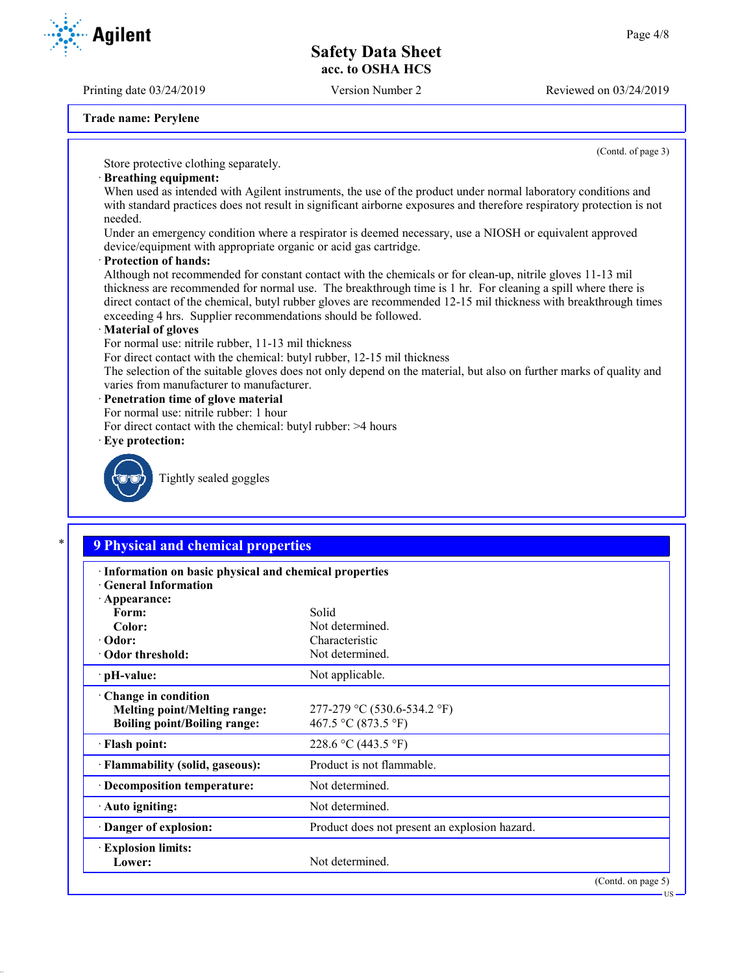Printing date 03/24/2019 Version Number 2 Reviewed on 03/24/2019

(Contd. of page 3)

**Agilent** 

**Trade name: Perylene**

Store protective clothing separately.

#### · **Breathing equipment:**

When used as intended with Agilent instruments, the use of the product under normal laboratory conditions and with standard practices does not result in significant airborne exposures and therefore respiratory protection is not needed.

Under an emergency condition where a respirator is deemed necessary, use a NIOSH or equivalent approved device/equipment with appropriate organic or acid gas cartridge.

#### · **Protection of hands:**

Although not recommended for constant contact with the chemicals or for clean-up, nitrile gloves 11-13 mil thickness are recommended for normal use. The breakthrough time is 1 hr. For cleaning a spill where there is direct contact of the chemical, butyl rubber gloves are recommended 12-15 mil thickness with breakthrough times exceeding 4 hrs. Supplier recommendations should be followed.

#### · **Material of gloves**

For normal use: nitrile rubber, 11-13 mil thickness

For direct contact with the chemical: butyl rubber, 12-15 mil thickness

The selection of the suitable gloves does not only depend on the material, but also on further marks of quality and varies from manufacturer to manufacturer.

#### · **Penetration time of glove material**

For normal use: nitrile rubber: 1 hour

- For direct contact with the chemical: butyl rubber: >4 hours
- · **Eye protection:**



Tightly sealed goggles

# \* **9 Physical and chemical properties**

| Information on basic physical and chemical properties<br><b>Ceneral Information</b> |                                               |  |
|-------------------------------------------------------------------------------------|-----------------------------------------------|--|
| · Appearance:                                                                       |                                               |  |
| Form:                                                                               | Solid                                         |  |
| Color:                                                                              | Not determined.                               |  |
| $\cdot$ Odor:                                                                       | Characteristic                                |  |
| Odor threshold:                                                                     | Not determined.                               |  |
| $\cdot$ pH-value:                                                                   | Not applicable.                               |  |
| $\cdot$ Change in condition                                                         |                                               |  |
| <b>Melting point/Melting range:</b>                                                 | 277-279 °C (530.6-534.2 °F)                   |  |
| <b>Boiling point/Boiling range:</b>                                                 | 467.5 °C (873.5 °F)                           |  |
| · Flash point:                                                                      | 228.6 °C (443.5 °F)                           |  |
| · Flammability (solid, gaseous):                                                    | Product is not flammable.                     |  |
| · Decomposition temperature:                                                        | Not determined.                               |  |
| $\cdot$ Auto igniting:                                                              | Not determined.                               |  |
| Danger of explosion:                                                                | Product does not present an explosion hazard. |  |
| <b>Explosion limits:</b>                                                            |                                               |  |
| Lower:                                                                              | Not determined.                               |  |
|                                                                                     | (Contd. on page 5)                            |  |

**TIS**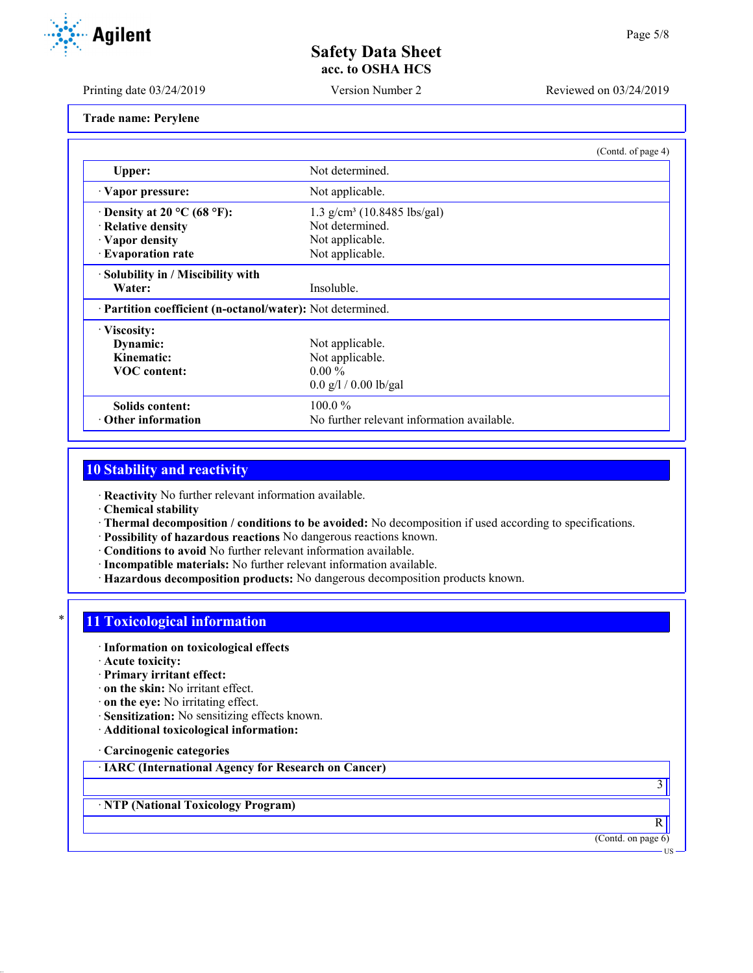Printing date 03/24/2019 Version Number 2 Reviewed on 03/24/2019

**Trade name: Perylene**

|                                    | (Contd. of page 4)                                         |  |  |
|------------------------------------|------------------------------------------------------------|--|--|
| Upper:                             | Not determined.                                            |  |  |
| · Vapor pressure:                  | Not applicable.                                            |  |  |
| $\cdot$ Density at 20 °C (68 °F):  | $1.3$ g/cm <sup>3</sup> (10.8485 lbs/gal)                  |  |  |
| · Relative density                 | Not determined.                                            |  |  |
| · Vapor density                    | Not applicable.                                            |  |  |
| · Evaporation rate                 | Not applicable.                                            |  |  |
| · Solubility in / Miscibility with |                                                            |  |  |
| Water:                             | Insoluble.                                                 |  |  |
|                                    | · Partition coefficient (n-octanol/water): Not determined. |  |  |
| · Viscosity:                       |                                                            |  |  |
| Dynamic:                           | Not applicable.                                            |  |  |
| Kinematic:                         | Not applicable.                                            |  |  |
| <b>VOC</b> content:                | $0.00 \%$                                                  |  |  |
|                                    | $0.0$ g/l / 0.00 lb/gal                                    |  |  |
| Solids content:                    | $100.0\%$                                                  |  |  |
| Other information                  | No further relevant information available.                 |  |  |

### **10 Stability and reactivity**

· **Reactivity** No further relevant information available.

· **Chemical stability**

- · **Thermal decomposition / conditions to be avoided:** No decomposition if used according to specifications.
- · **Possibility of hazardous reactions** No dangerous reactions known.
- · **Conditions to avoid** No further relevant information available.
- · **Incompatible materials:** No further relevant information available.
- · **Hazardous decomposition products:** No dangerous decomposition products known.

# **11 Toxicological information**

- · **Information on toxicological effects**
- · **Acute toxicity:**
- · **Primary irritant effect:**
- · **on the skin:** No irritant effect.
- · **on the eye:** No irritating effect.
- · **Sensitization:** No sensitizing effects known.
- · **Additional toxicological information:**

· **Carcinogenic categories**

· **IARC (International Agency for Research on Cancer)**

· **NTP (National Toxicology Program)**

R (Contd. on page 6)

3

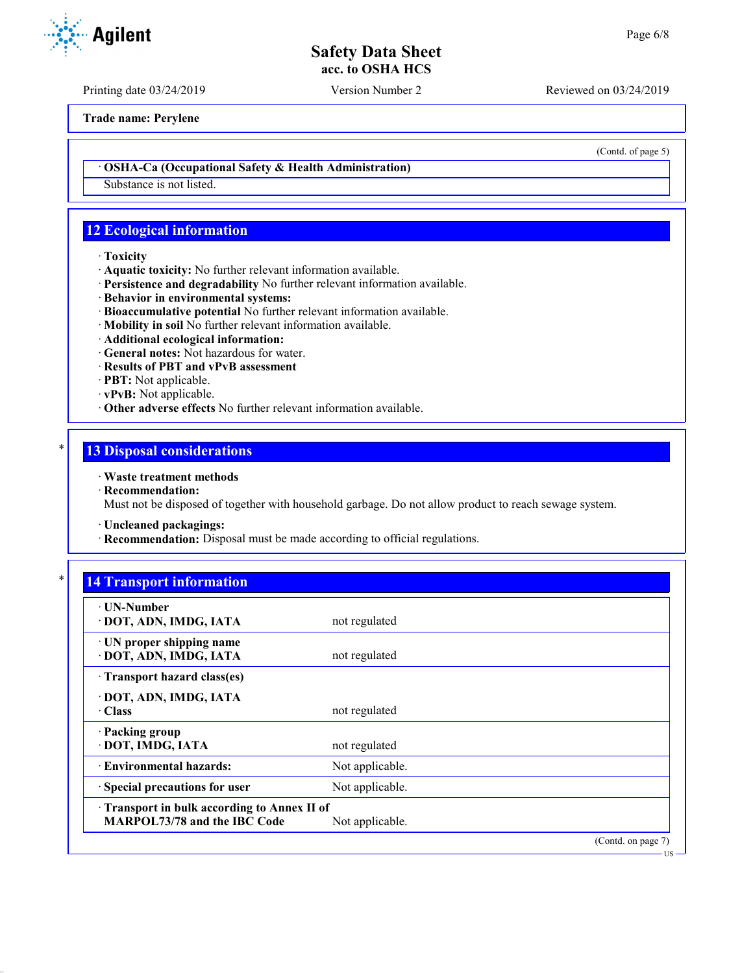Printing date 03/24/2019 Version Number 2 Reviewed on 03/24/2019

**Trade name: Perylene**

· **OSHA-Ca (Occupational Safety & Health Administration)**

Substance is not listed.

# **12 Ecological information**

- · **Toxicity**
- · **Aquatic toxicity:** No further relevant information available.
- · **Persistence and degradability** No further relevant information available.
- · **Behavior in environmental systems:**
- · **Bioaccumulative potential** No further relevant information available.
- · **Mobility in soil** No further relevant information available.
- · **Additional ecological information:**
- · **General notes:** Not hazardous for water.
- · **Results of PBT and vPvB assessment**
- · **PBT:** Not applicable.
- · **vPvB:** Not applicable.
- · **Other adverse effects** No further relevant information available.

### **13 Disposal considerations**

#### · **Waste treatment methods**

· **Recommendation:**

Must not be disposed of together with household garbage. Do not allow product to reach sewage system.

- · **Uncleaned packagings:**
- · **Recommendation:** Disposal must be made according to official regulations.

| $\ast$ |                                 |
|--------|---------------------------------|
|        | <b>14 Transport information</b> |
|        |                                 |

| $\cdot$ UN-Number<br>· DOT, ADN, IMDG, IATA                                                                 | not regulated   |                    |
|-------------------------------------------------------------------------------------------------------------|-----------------|--------------------|
| · UN proper shipping name<br>· DOT, ADN, IMDG, IATA                                                         | not regulated   |                    |
| Transport hazard class(es)                                                                                  |                 |                    |
| · DOT, ADN, IMDG, IATA<br>· Class                                                                           | not regulated   |                    |
| · Packing group<br>· DOT, IMDG, IATA                                                                        | not regulated   |                    |
| · Environmental hazards:                                                                                    | Not applicable. |                    |
| · Special precautions for user                                                                              | Not applicable. |                    |
| <b>Transport in bulk according to Annex II of</b><br><b>MARPOL73/78 and the IBC Code</b><br>Not applicable. |                 |                    |
|                                                                                                             |                 | (Contd. on page 7) |



(Contd. of page 5)

US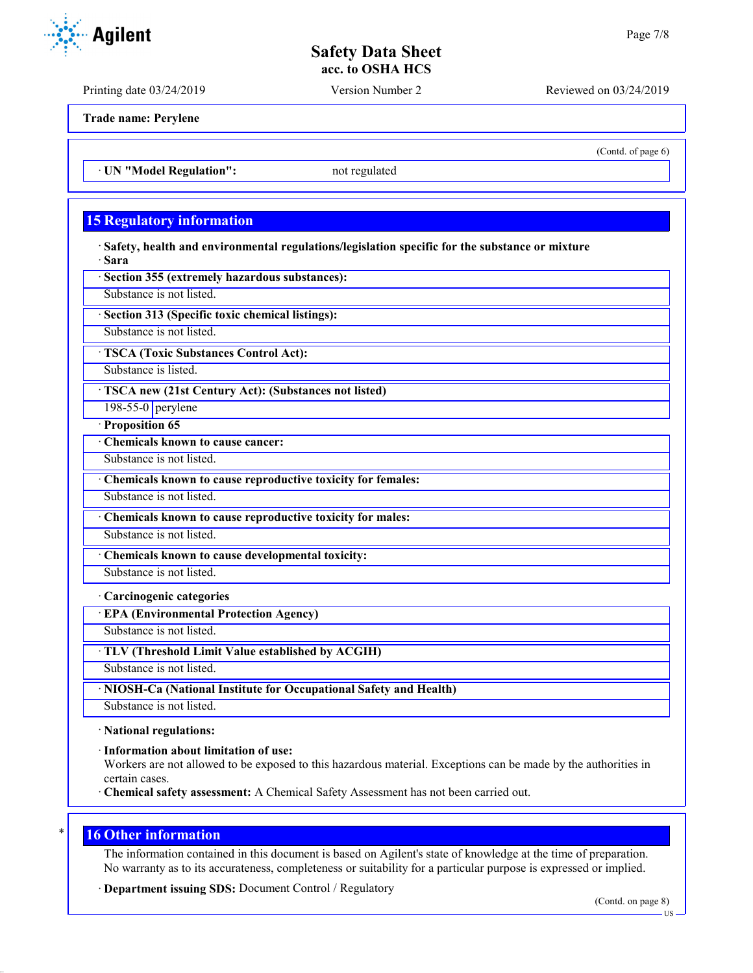Printing date 03/24/2019 Version Number 2 Reviewed on 03/24/2019

(Contd. of page 6)

**Trade name: Perylene**

· **UN "Model Regulation":** not regulated

## **15 Regulatory information**

· **Safety, health and environmental regulations/legislation specific for the substance or mixture** · **Sara**

· **Section 355 (extremely hazardous substances):**

Substance is not listed.

· **Section 313 (Specific toxic chemical listings):**

Substance is not listed.

· **TSCA (Toxic Substances Control Act):**

Substance is listed.

· **TSCA new (21st Century Act): (Substances not listed)**

198-55-0 perylene

· **Proposition 65**

· **Chemicals known to cause cancer:**

Substance is not listed.

· **Chemicals known to cause reproductive toxicity for females:**

Substance is not listed.

· **Chemicals known to cause reproductive toxicity for males:**

Substance is not listed.

· **Chemicals known to cause developmental toxicity:**

Substance is not listed.

· **Carcinogenic categories**

· **EPA (Environmental Protection Agency)**

Substance is not listed.

· **TLV (Threshold Limit Value established by ACGIH)**

Substance is not listed.

· **NIOSH-Ca (National Institute for Occupational Safety and Health)**

Substance is not listed.

· **National regulations:**

· **Information about limitation of use:**

Workers are not allowed to be exposed to this hazardous material. Exceptions can be made by the authorities in certain cases.

· **Chemical safety assessment:** A Chemical Safety Assessment has not been carried out.

#### **16 Other information**

The information contained in this document is based on Agilent's state of knowledge at the time of preparation. No warranty as to its accurateness, completeness or suitability for a particular purpose is expressed or implied.

· **Department issuing SDS:** Document Control / Regulatory